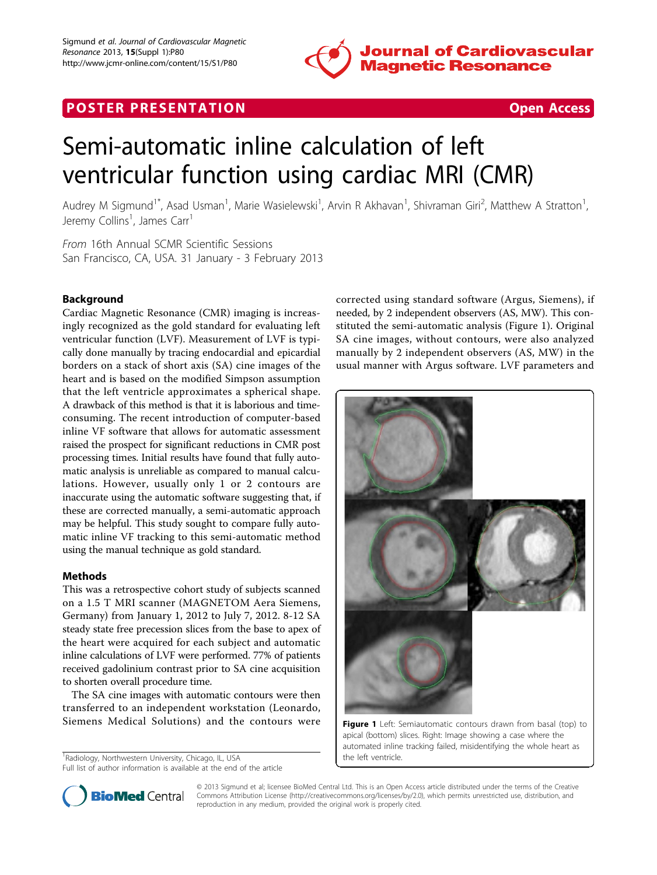

# **POSTER PRESENTATION CONSUMING THE SECOND CONSUMING THE SECOND CONSUMING THE SECOND CONSUMING THE SECOND CONSUMING THE SECOND CONSUMING THE SECOND CONSUMING THE SECOND CONSUMING THE SECOND CONSUMING THE SECOND CONSUMING**



# Semi-automatic inline calculation of left ventricular function using cardiac MRI (CMR)

Audrey M Sigmund<sup>1\*</sup>, Asad Usman<sup>1</sup>, Marie Wasielewski<sup>1</sup>, Arvin R Akhavan<sup>1</sup>, Shivraman Giri<sup>2</sup>, Matthew A Stratton<sup>1</sup> , Jeremy Collins<sup>1</sup>, James Carr<sup>1</sup>

From 16th Annual SCMR Scientific Sessions San Francisco, CA, USA. 31 January - 3 February 2013

# Background

Cardiac Magnetic Resonance (CMR) imaging is increasingly recognized as the gold standard for evaluating left ventricular function (LVF). Measurement of LVF is typically done manually by tracing endocardial and epicardial borders on a stack of short axis (SA) cine images of the heart and is based on the modified Simpson assumption that the left ventricle approximates a spherical shape. A drawback of this method is that it is laborious and timeconsuming. The recent introduction of computer-based inline VF software that allows for automatic assessment raised the prospect for significant reductions in CMR post processing times. Initial results have found that fully automatic analysis is unreliable as compared to manual calculations. However, usually only 1 or 2 contours are inaccurate using the automatic software suggesting that, if these are corrected manually, a semi-automatic approach may be helpful. This study sought to compare fully automatic inline VF tracking to this semi-automatic method using the manual technique as gold standard.

# Methods

This was a retrospective cohort study of subjects scanned on a 1.5 T MRI scanner (MAGNETOM Aera Siemens, Germany) from January 1, 2012 to July 7, 2012. 8-12 SA steady state free precession slices from the base to apex of the heart were acquired for each subject and automatic inline calculations of LVF were performed. 77% of patients received gadolinium contrast prior to SA cine acquisition to shorten overall procedure time.

The SA cine images with automatic contours were then transferred to an independent workstation (Leonardo, Siemens Medical Solutions) and the contours were

<sup>1</sup> Radiology, Northwestern University, Chicago, IL, USA Full list of author information is available at the end of the article corrected using standard software (Argus, Siemens), if needed, by 2 independent observers (AS, MW). This constituted the semi-automatic analysis (Figure 1). Original SA cine images, without contours, were also analyzed manually by 2 independent observers (AS, MW) in the usual manner with Argus software. LVF parameters and



apical (bottom) slices. Right: Image showing a case where the automated inline tracking failed, misidentifying the whole heart as the left ventricle.



© 2013 Sigmund et al; licensee BioMed Central Ltd. This is an Open Access article distributed under the terms of the Creative Commons Attribution License [\(http://creativecommons.org/licenses/by/2.0](http://creativecommons.org/licenses/by/2.0)), which permits unrestricted use, distribution, and reproduction in any medium, provided the original work is properly cited.